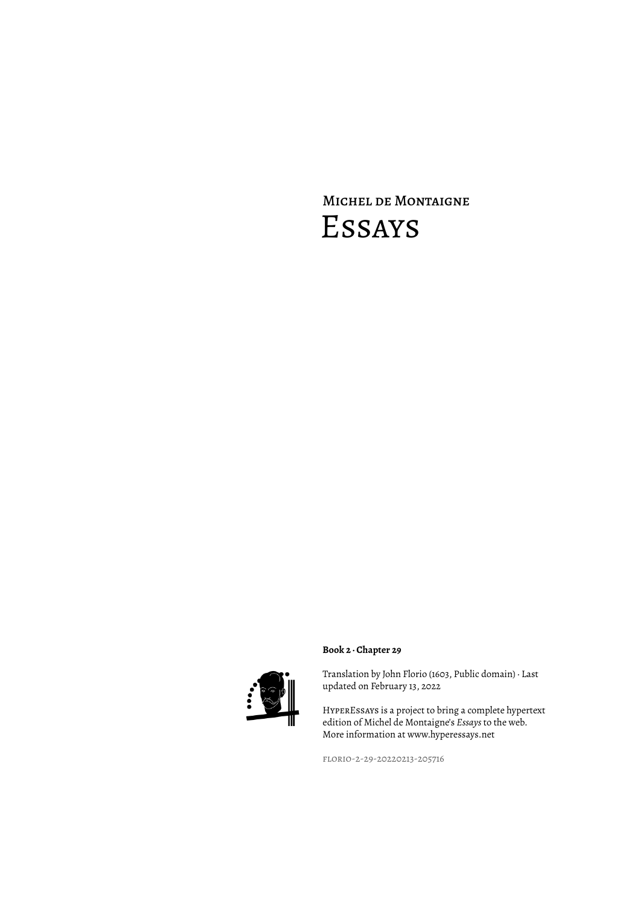# Michel de Montaigne Essays



### **Book 2 · Chapter 29**

Translation by John Florio (1603, Public domain) · Last updated on February 13, 2022

HyperEssays is a project to bring a complete hypertext edition of Michel de Montaigne's *Essays* to the web. More information at www.hyperessays.net

florio-2-29-20220213-205716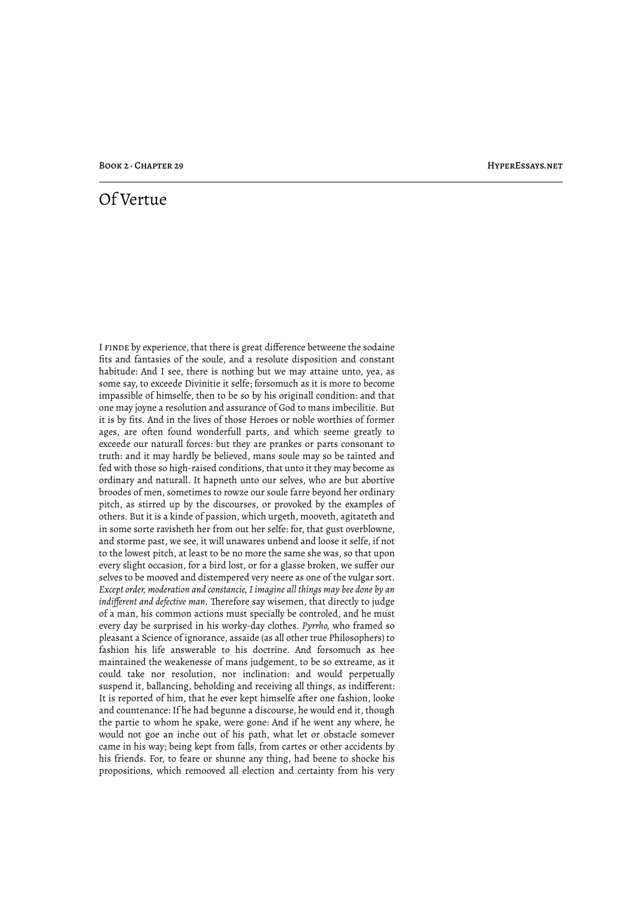## Of Vertue

I finde by experience, that there is great difference betweene the sodaine fits and fantasies of the soule, and a resolute disposition and constant habitude: And I see, there is nothing but we may attaine unto, yea, as some say, to exceede Divinitie it selfe; forsomuch as it is more to become impassible of himselfe, then to be so by his originall condition: and that one may joyne a resolution and assurance of God to mans imbecilitie. But it is by fits. And in the lives of those Heroes or noble worthies of former ages, are often found wonderfull parts, and which seeme greatly to exceede our naturall forces: but they are prankes or parts consonant to truth: and it may hardly be believed, mans soule may so be tainted and fed with those so high-raised conditions, that unto it they may become as ordinary and naturall. It hapneth unto our selves, who are but abortive broodes of men, sometimes to rowze our soule farre beyond her ordinary pitch, as stirred up by the discourses, or provoked by the examples of others. But it is a kinde of passion, which urgeth, mooveth, agitateth and in some sorte ravisheth her from out her selfe: for, that gust overblowne, and storme past, we see, it will unawares unbend and loose it selfe, if not to the lowest pitch, at least to be no more the same she was, so that upon every slight occasion, for a bird lost, or for a glasse broken, we suffer our selves to be mooved and distempered very neere as one of the vulgar sort. *Except order, moderation and constancie, I imagine all things may bee done by an indifferent and defective man.* Therefore say wisemen, that directly to judge of a man, his common actions must specially be controled, and he must every day be surprised in his worky-day clothes. *Pyrrho,* who framed so pleasant a Science of ignorance, assaide (as all other true Philosophers) to fashion his life answerable to his doctrine. And forsomuch as hee maintained the weakenesse of mans judgement, to be so extreame, as it could take nor resolution, nor inclination: and would perpetually suspend it, ballancing, beholding and receiving all things, as indifferent: It is reported of him, that he ever kept himselfe after one fashion, looke and countenance: If he had begunne a discourse, he would end it, though the partie to whom he spake, were gone: And if he went any where, he would not goe an inche out of his path, what let or obstacle somever came in his way; being kept from falls, from cartes or other accidents by his friends. For, to feare or shunne any thing, had beene to shocke his propositions, which remooved all election and certainty from his very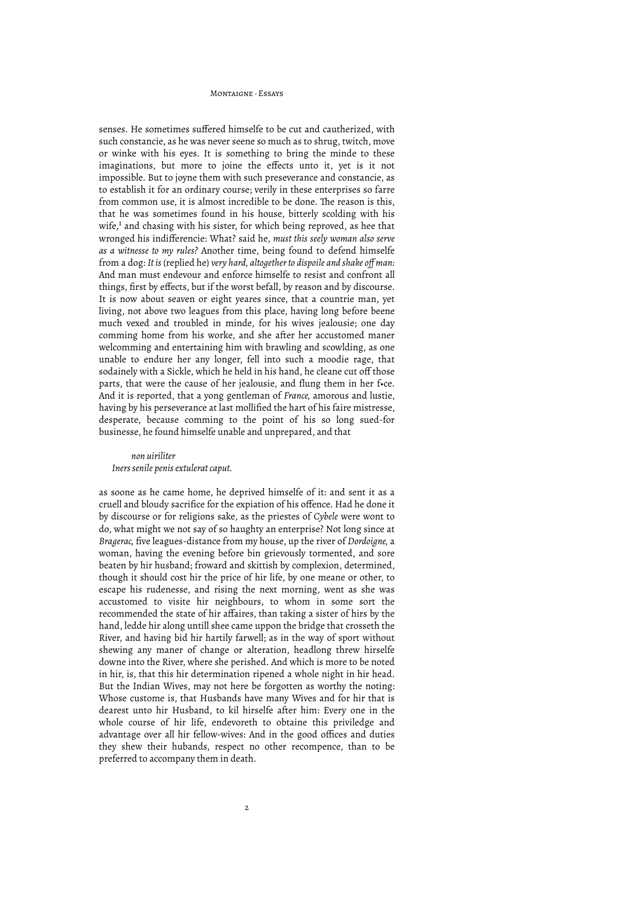senses. He sometimes suffered himselfe to be cut and cautherized, with such constancie, as he was never seene so much as to shrug, twitch, move or winke with his eyes. It is something to bring the minde to these imaginations, but more to joine the effects unto it, yet is it not impossible. But to joyne them with such preseverance and constancie, as to establish it for an ordinary course; verily in these enterprises so farre from common use, it is almost incredible to be done. The reason is this, that he was sometimes found in his house, bitterly scolding with his wife,<sup>1</sup> and chasing with his sister, for which being reproved, as hee that wronged his indifferencie: What? said he, *must this seely woman also serve as a witnesse to my rules?* Another time, being found to defend himselfe from a dog: *It is* (replied he) *very hard, altogether to dispoile and shake off man:* And man must endevour and enforce himselfe to resist and confront all things, first by effects, but if the worst befall, by reason and by discourse. It is now about seaven or eight yeares since, that a countrie man, yet living, not above two leagues from this place, having long before beene much vexed and troubled in minde, for his wives jealousie; one day comming home from his worke, and she after her accustomed maner welcomming and entertaining him with brawling and scowlding, as one unable to endure her any longer, fell into such a moodie rage, that sodainely with a Sickle, which he held in his hand, he cleane cut off those parts, that were the cause of her jealousie, and flung them in her f•ce. And it is reported, that a yong gentleman of *France,* amorous and lustie, having by his perseverance at last mollified the hart of his faire mistresse, desperate, because comming to the point of his so long sued-for businesse, he found himselfe unable and unprepared, and that

#### *non uiriliter Iners senile penis extulerat caput.*

as soone as he came home, he deprived himselfe of it: and sent it as a cruell and bloudy sacrifice for the expiation of his offence. Had he done it by discourse or for religions sake, as the priestes of *Cybele* were wont to do, what might we not say of so haughty an enterprise? Not long since at *Bragerac,* five leagues-distance from my house, up the river of *Dordoigne,* a woman, having the evening before bin grievously tormented, and sore beaten by hir husband; froward and skittish by complexion, determined, though it should cost hir the price of hir life, by one meane or other, to escape his rudenesse, and rising the next morning, went as she was accustomed to visite hir neighbours, to whom in some sort the recommended the state of hir affaires, than taking a sister of hirs by the hand, ledde hir along untill shee came uppon the bridge that crosseth the River, and having bid hir hartily farwell; as in the way of sport without shewing any maner of change or alteration, headlong threw hirselfe downe into the River, where she perished. And which is more to be noted in hir, is, that this hir determination ripened a whole night in hir head. But the Indian Wives, may not here be forgotten as worthy the noting: Whose custome is, that Husbands have many Wives and for hir that is dearest unto hir Husband, to kil hirselfe after him: Every one in the whole course of hir life, endevoreth to obtaine this priviledge and advantage over all hir fellow-wives: And in the good offices and duties they shew their hubands, respect no other recompence, than to be preferred to accompany them in death.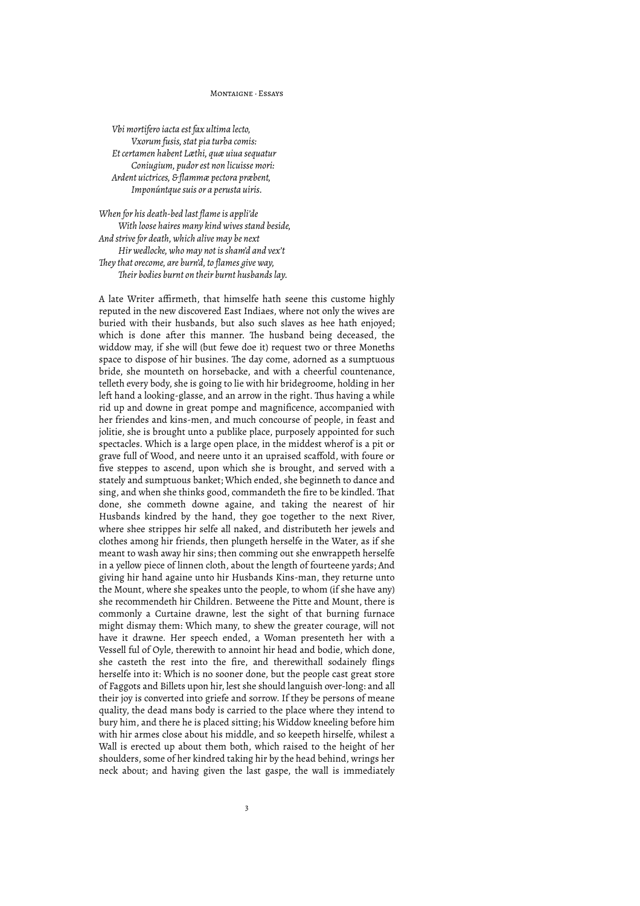*Vbi mortifero iacta est fax ultima lecto, Vxorum fusis, stat pia turba comis: Et certamen habent Læthi, quæ uiua sequatur Coniugium, pudor est non licuisse mori: Ardent uictrices, & flammæ pectora præbent, Imponúntque suis or a perusta uiris.*

*When for his death-bed last flame is appli'de With loose haires many kind wives stand beside, And strive for death, which alive may be next Hir wedlocke, who may not is sham'd and vex't #ey that orecome, are burn'd, to flames give way, #eir bodies burnt on their burnt husbands lay.*

A late Writer affirmeth, that himselfe hath seene this custome highly reputed in the new discovered East Indiaes, where not only the wives are buried with their husbands, but also such slaves as hee hath enjoyed; which is done after this manner. The husband being deceased, the widdow may, if she will (but fewe doe it) request two or three Moneths space to dispose of hir busines. The day come, adorned as a sumptuous bride, she mounteth on horsebacke, and with a cheerful countenance, telleth every body, she is going to lie with hir bridegroome, holding in her left hand a looking-glasse, and an arrow in the right. Thus having a while rid up and downe in great pompe and magnificence, accompanied with her friendes and kins-men, and much concourse of people, in feast and jolitie, she is brought unto a publike place, purposely appointed for such spectacles. Which is a large open place, in the middest wherof is a pit or grave full of Wood, and neere unto it an upraised scaffold, with foure or five steppes to ascend, upon which she is brought, and served with a stately and sumptuous banket; Which ended, she beginneth to dance and sing, and when she thinks good, commandeth the fire to be kindled. That done, she commeth downe againe, and taking the nearest of hir Husbands kindred by the hand, they goe together to the next River, where shee strippes hir selfe all naked, and distributeth her jewels and clothes among hir friends, then plungeth herselfe in the Water, as if she meant to wash away hir sins; then comming out she enwrappeth herselfe in a yellow piece of linnen cloth, about the length of fourteene yards; And giving hir hand againe unto hir Husbands Kins-man, they returne unto the Mount, where she speakes unto the people, to whom (if she have any) she recommendeth hir Children. Betweene the Pitte and Mount, there is commonly a Curtaine drawne, lest the sight of that burning furnace might dismay them: Which many, to shew the greater courage, will not have it drawne. Her speech ended, a Woman presenteth her with a Vessell ful of Oyle, therewith to annoint hir head and bodie, which done, she casteth the rest into the fire, and therewithall sodainely flings herselfe into it: Which is no sooner done, but the people cast great store of Faggots and Billets upon hir, lest she should languish over-long: and all their joy is converted into griefe and sorrow. If they be persons of meane quality, the dead mans body is carried to the place where they intend to bury him, and there he is placed sitting; his Widdow kneeling before him with hir armes close about his middle, and so keepeth hirselfe, whilest a Wall is erected up about them both, which raised to the height of her shoulders, some of her kindred taking hir by the head behind, wrings her neck about; and having given the last gaspe, the wall is immediately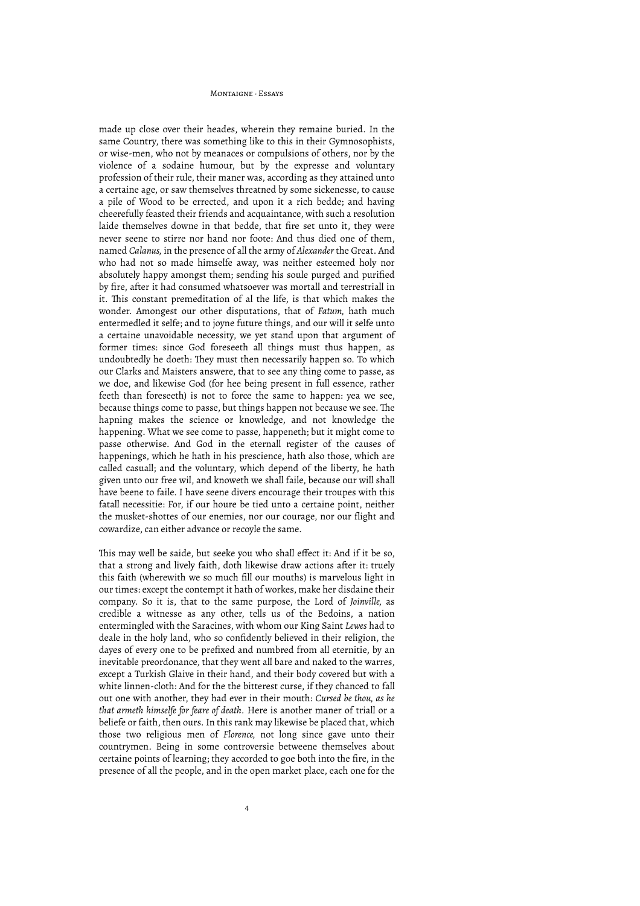made up close over their heades, wherein they remaine buried. In the same Country, there was something like to this in their Gymnosophists, or wise-men, who not by meanaces or compulsions of others, nor by the violence of a sodaine humour, but by the expresse and voluntary profession of their rule, their maner was, according as they attained unto a certaine age, or saw themselves threatned by some sickenesse, to cause a pile of Wood to be errected, and upon it a rich bedde; and having cheerefully feasted their friends and acquaintance, with such a resolution laide themselves downe in that bedde, that fire set unto it, they were never seene to stirre nor hand nor foote: And thus died one of them, named *Calanus,* in the presence of all the army of *Alexander* the Great. And who had not so made himselfe away, was neither esteemed holy nor absolutely happy amongst them; sending his soule purged and purified by fire, after it had consumed whatsoever was mortall and terrestriall in it. This constant premeditation of al the life, is that which makes the wonder. Amongest our other disputations, that of *Fatum,* hath much entermedled it selfe; and to joyne future things, and our will it selfe unto a certaine unavoidable necessity, we yet stand upon that argument of former times: since God foreseeth all things must thus happen, as undoubtedly he doeth: They must then necessarily happen so. To which our Clarks and Maisters answere, that to see any thing come to passe, as we doe, and likewise God (for hee being present in full essence, rather feeth than foreseeth) is not to force the same to happen: yea we see, because things come to passe, but things happen not because we see. The hapning makes the science or knowledge, and not knowledge the happening. What we see come to passe, happeneth; but it might come to passe otherwise. And God in the eternall register of the causes of happenings, which he hath in his prescience, hath also those, which are called casuall; and the voluntary, which depend of the liberty, he hath given unto our free wil, and knoweth we shall faile, because our will shall have beene to faile. I have seene divers encourage their troupes with this fatall necessitie: For, if our houre be tied unto a certaine point, neither the musket-shottes of our enemies, nor our courage, nor our flight and cowardize, can either advance or recoyle the same.

This may well be saide, but seeke you who shall effect it: And if it be so, that a strong and lively faith, doth likewise draw actions after it: truely this faith (wherewith we so much fill our mouths) is marvelous light in our times: except the contempt it hath of workes, make her disdaine their company. So it is, that to the same purpose, the Lord of *Joinville,* as credible a witnesse as any other, tells us of the Bedoins, a nation entermingled with the Saracines, with whom our King Saint *Lewes* had to deale in the holy land, who so confidently believed in their religion, the dayes of every one to be prefixed and numbred from all eternitie, by an inevitable preordonance, that they went all bare and naked to the warres, except a Turkish Glaive in their hand, and their body covered but with a white linnen-cloth: And for the the bitterest curse, if they chanced to fall out one with another, they had ever in their mouth: *Cursed be thou, as he that armeth himselfe for feare of death.* Here is another maner of triall or a beliefe or faith, then ours. In this rank may likewise be placed that, which those two religious men of *Florence,* not long since gave unto their countrymen. Being in some controversie betweene themselves about certaine points of learning; they accorded to goe both into the fire, in the presence of all the people, and in the open market place, each one for the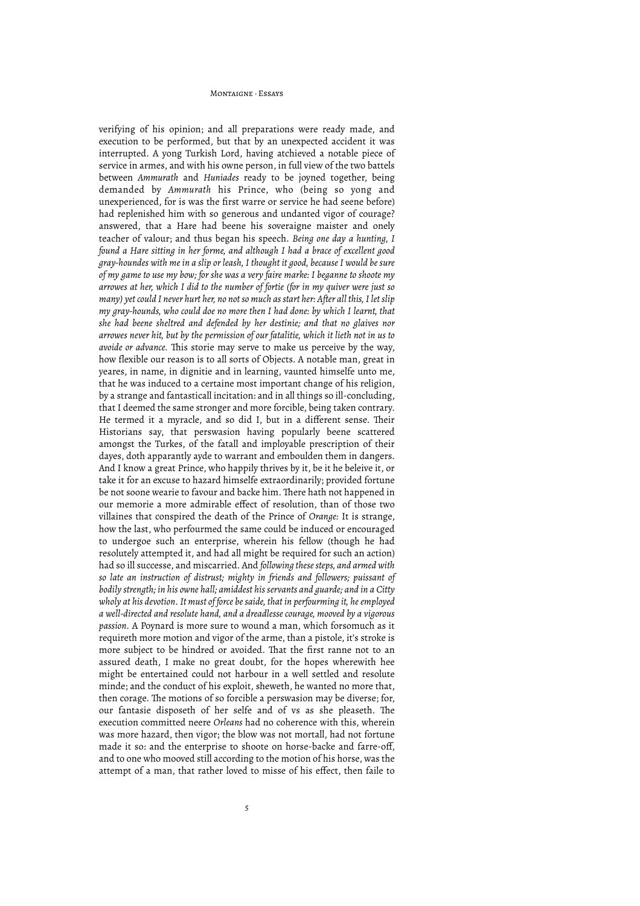verifying of his opinion; and all preparations were ready made, and execution to be performed, but that by an unexpected accident it was interrupted. A yong Turkish Lord, having atchieved a notable piece of service in armes, and with his owne person, in full view of the two battels between *Ammurath* and *Huniades* ready to be joyned together, being demanded by *Ammurath* his Prince, who (being so yong and unexperienced, for is was the first warre or service he had seene before) had replenished him with so generous and undanted vigor of courage? answered, that a Hare had beene his soveraigne maister and onely teacher of valour; and thus began his speech. *Being one day a hunting, I found a Hare sitting in her forme, and although I had a brace of excellent good gray-houndes with me in a slip or leash, I thought it good, because I would be sure of my game to use my bow; for she was a very faire marke: I beganne to shoote my arrowes at her, which I did to the number of fortie (for in my quiver were just so many) yet could I never hurt her, no not so much as start her: After all this, I let slip my gray-hounds, who could doe no more then I had done: by which I learnt, that she had beene sheltred and defended by her destinie; and that no glaives nor arrowes never hit, but by the permission of our fatalitie, which it lieth not in us to avoide or advance*. This storie may serve to make us perceive by the way, how flexible our reason is to all sorts of Objects. A notable man, great in yeares, in name, in dignitie and in learning, vaunted himselfe unto me, that he was induced to a certaine most important change of his religion, by a strange and fantasticall incitation: and in all things so ill-concluding, that I deemed the same stronger and more forcible, being taken contrary. He termed it a myracle, and so did I, but in a different sense. Their Historians say, that perswasion having popularly beene scattered amongst the Turkes, of the fatall and imployable prescription of their dayes, doth apparantly ayde to warrant and emboulden them in dangers. And I know a great Prince, who happily thrives by it, be it he beleive it, or take it for an excuse to hazard himselfe extraordinarily; provided fortune be not soone wearie to favour and backe him. There hath not happened in our memorie a more admirable effect of resolution, than of those two villaines that conspired the death of the Prince of *Orange:* It is strange, how the last, who perfourmed the same could be induced or encouraged to undergoe such an enterprise, wherein his fellow (though he had resolutely attempted it, and had all might be required for such an action) had so ill successe, and miscarried. And *following these steps, and armed with so late an instruction of distrust; mighty in friends and followers; puissant of bodily strength; in his owne hall; amiddest his servants and guarde; and in a Citty wholy at his devotion. It must of force be saide, that in perfourming it, he employed a well-directed and resolute hand, and a dreadlesse courage, mooved by a vigorous passion.* A Poynard is more sure to wound a man, which forsomuch as it requireth more motion and vigor of the arme, than a pistole, it's stroke is more subject to be hindred or avoided. That the first ranne not to an assured death, I make no great doubt, for the hopes wherewith hee might be entertained could not harbour in a well settled and resolute minde; and the conduct of his exploit, sheweth, he wanted no more that, then corage. The motions of so forcible a perswasion may be diverse; for, our fantasie disposeth of her selfe and of vs as she pleaseth. The execution committed neere *Orleans* had no coherence with this, wherein was more hazard, then vigor; the blow was not mortall, had not fortune made it so: and the enterprise to shoote on horse-backe and farre-off, and to one who mooved still according to the motion of his horse, was the attempt of a man, that rather loved to misse of his effect, then faile to